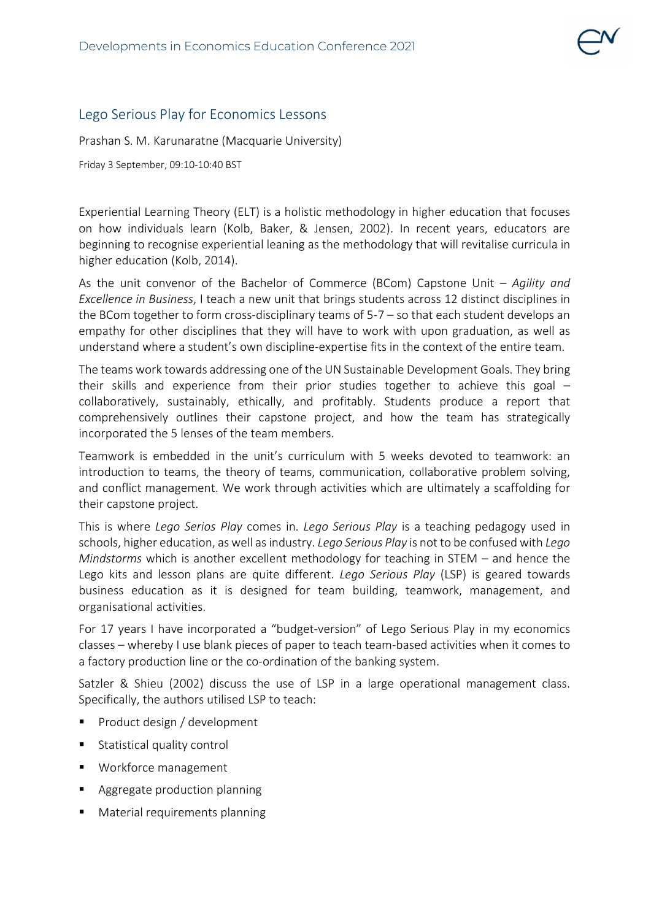## Lego Serious Play for Economics Lessons

Prashan S. M. Karunaratne (Macquarie University)

Friday 3 September, 09:10-10:40 BST

Experiential Learning Theory (ELT) is a holistic methodology in higher education that focuses on how individuals learn (Kolb, Baker, & Jensen, 2002). In recent years, educators are beginning to recognise experiential leaning as the methodology that will revitalise curricula in higher education (Kolb, 2014).

As the unit convenor of the Bachelor of Commerce (BCom) Capstone Unit – *Agility and Excellence in Business*, I teach a new unit that brings students across 12 distinct disciplines in the BCom together to form cross-disciplinary teams of 5-7 – so that each student develops an empathy for other disciplines that they will have to work with upon graduation, as well as understand where a student's own discipline-expertise fits in the context of the entire team.

The teams work towards addressing one of the UN Sustainable Development Goals. They bring their skills and experience from their prior studies together to achieve this goal – collaboratively, sustainably, ethically, and profitably. Students produce a report that comprehensively outlines their capstone project, and how the team has strategically incorporated the 5 lenses of the team members.

Teamwork is embedded in the unit's curriculum with 5 weeks devoted to teamwork: an introduction to teams, the theory of teams, communication, collaborative problem solving, and conflict management. We work through activities which are ultimately a scaffolding for their capstone project.

This is where *Lego Serios Play* comes in. *Lego Serious Play* is a teaching pedagogy used in schools, higher education, as well as industry. *Lego Serious Play* is not to be confused with *Lego Mindstorms* which is another excellent methodology for teaching in STEM – and hence the Lego kits and lesson plans are quite different. *Lego Serious Play* (LSP) is geared towards business education as it is designed for team building, teamwork, management, and organisational activities.

For 17 years I have incorporated a "budget-version" of Lego Serious Play in my economics classes – whereby I use blank pieces of paper to teach team-based activities when it comes to a factory production line or the co-ordination of the banking system.

Satzler & Shieu (2002) discuss the use of LSP in a large operational management class. Specifically, the authors utilised LSP to teach:

- **Product design / development**
- Statistical quality control
- Workforce management
- **Aggregate production planning**
- **Material requirements planning**